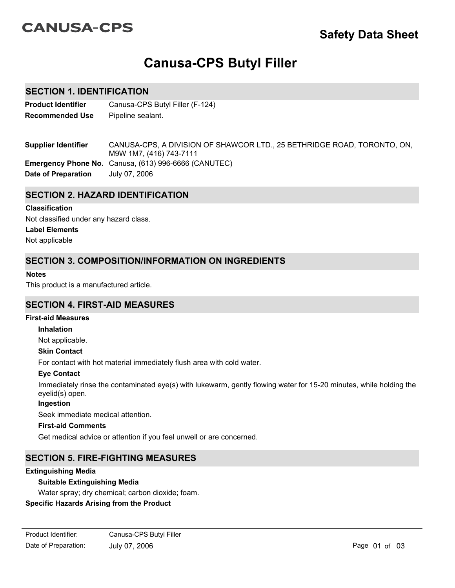# **CANUSA-CPS**

# **Canusa-CPS Butyl Filler**

## **SECTION 1. IDENTIFICATION**

**Product Identifier** Canusa-CPS Butyl Filler (F-124) **Recommended Use** Pipeline sealant.

**Emergency Phone No.** Canusa, (613) 996-6666 (CANUTEC) CANUSA-CPS, A DIVISION OF SHAWCOR LTD., 25 BETHRIDGE ROAD, TORONTO, ON, M9W 1M7, (416) 743-7111 **Supplier Identifier Date of Preparation** July 07, 2006

## **SECTION 2. HAZARD IDENTIFICATION**

#### **Classification**

**Label Elements** Not applicable Not classified under any hazard class.

## **SECTION 3. COMPOSITION/INFORMATION ON INGREDIENTS**

#### **Notes**

This product is a manufactured article.

## **SECTION 4. FIRST-AID MEASURES**

## **First-aid Measures**

**Inhalation**

Not applicable.

#### **Skin Contact**

For contact with hot material immediately flush area with cold water.

#### **Eye Contact**

Immediately rinse the contaminated eye(s) with lukewarm, gently flowing water for 15-20 minutes, while holding the eyelid(s) open.

#### **Ingestion**

Seek immediate medical attention.

#### **First-aid Comments**

Get medical advice or attention if you feel unwell or are concerned.

## **SECTION 5. FIRE-FIGHTING MEASURES**

#### **Extinguishing Media**

#### **Suitable Extinguishing Media**

Water spray; dry chemical; carbon dioxide; foam.

#### **Specific Hazards Arising from the Product**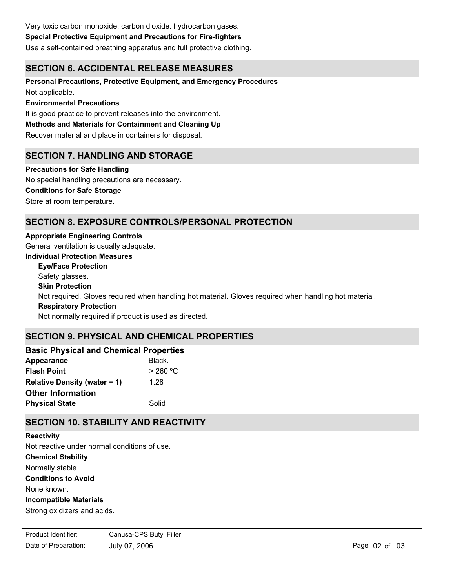## Use a self-contained breathing apparatus and full protective clothing.

## **SECTION 6. ACCIDENTAL RELEASE MEASURES**

**Personal Precautions, Protective Equipment, and Emergency Procedures** Not applicable.

#### **Environmental Precautions**

It is good practice to prevent releases into the environment.

**Methods and Materials for Containment and Cleaning Up**

Recover material and place in containers for disposal.

## **SECTION 7. HANDLING AND STORAGE**

**Precautions for Safe Handling** No special handling precautions are necessary. **Conditions for Safe Storage** Store at room temperature.

## **SECTION 8. EXPOSURE CONTROLS/PERSONAL PROTECTION**

#### **Appropriate Engineering Controls**

General ventilation is usually adequate.

## **Individual Protection Measures**

**Skin Protection Respiratory Protection Eye/Face Protection** Not normally required if product is used as directed. Not required. Gloves required when handling hot material. Gloves required when handling hot material. Safety glasses.

## **SECTION 9. PHYSICAL AND CHEMICAL PROPERTIES**

| <b>Basic Physical and Chemical Properties</b> |          |
|-----------------------------------------------|----------|
| Appearance                                    | Black.   |
| <b>Flash Point</b>                            | > 260 °C |
| <b>Relative Density (water = 1)</b>           | 1.28     |
| <b>Other Information</b>                      |          |
| <b>Physical State</b>                         | Solid    |

## **SECTION 10. STABILITY AND REACTIVITY**

**Chemical Stability** Normally stable. **Conditions to Avoid** None known. **Incompatible Materials Reactivity** Not reactive under normal conditions of use.

Strong oxidizers and acids.